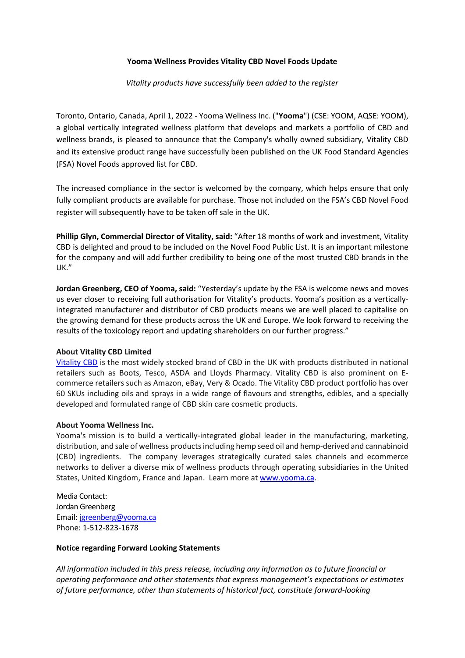## **Yooma Wellness Provides Vitality CBD Novel Foods Update**

*Vitality products have successfully been added to the register* 

Toronto, Ontario, Canada, April 1, 2022 - Yooma Wellness Inc. ("**Yooma**") (CSE: YOOM, AQSE: YOOM), a global vertically integrated wellness platform that develops and markets a portfolio of CBD and wellness brands, is pleased to announce that the Company's wholly owned subsidiary, Vitality CBD and its extensive product range have successfully been published on the UK Food Standard Agencies (FSA) Novel Foods approved list for CBD.

The increased compliance in the sector is welcomed by the company, which helps ensure that only fully compliant products are available for purchase. Those not included on the FSA's CBD Novel Food register will subsequently have to be taken off sale in the UK.

**Phillip Glyn, Commercial Director of Vitality, said:** "After 18 months of work and investment, Vitality CBD is delighted and proud to be included on the Novel Food Public List. It is an important milestone for the company and will add further credibility to being one of the most trusted CBD brands in the UK."

**Jordan Greenberg, CEO of Yooma, said:** "Yesterday's update by the FSA is welcome news and moves us ever closer to receiving full authorisation for Vitality's products. Yooma's position as a verticallyintegrated manufacturer and distributor of CBD products means we are well placed to capitalise on the growing demand for these products across the UK and Europe. We look forward to receiving the results of the toxicology report and updating shareholders on our further progress."

## **About Vitality CBD Limited**

[Vitality CBD](https://vitalitycbd.co.uk/) is the most widely stocked brand of CBD in the UK with products distributed in national retailers such as Boots, Tesco, ASDA and Lloyds Pharmacy. Vitality CBD is also prominent on Ecommerce retailers such as Amazon, eBay, Very & Ocado. The Vitality CBD product portfolio has over 60 SKUs including oils and sprays in a wide range of flavours and strengths, edibles, and a specially developed and formulated range of CBD skin care cosmetic products.

## **About Yooma Wellness Inc.**

Yooma's mission is to build a vertically-integrated global leader in the manufacturing, marketing, distribution, and sale of wellness products including hemp seed oil and hemp-derived and cannabinoid (CBD) ingredients. The company leverages strategically curated sales channels and ecommerce networks to deliver a diverse mix of wellness products through operating subsidiaries in the United States, United Kingdom, France and Japan. Learn more at [www.yooma.ca.](http://www.yooma.ca/)

Media Contact: Jordan Greenberg [Email:](mailto:rwardle@yooma.ca) [jgreenberg@yooma.ca](mailto:jgreenberg@yooma.ca) Phone: 1-512-823-1678

## **Notice regarding Forward Looking Statements**

*All information included in this press release, including any information as to future financial or operating performance and other statements that express management's expectations or estimates of future performance, other than statements of historical fact, constitute forward-looking*